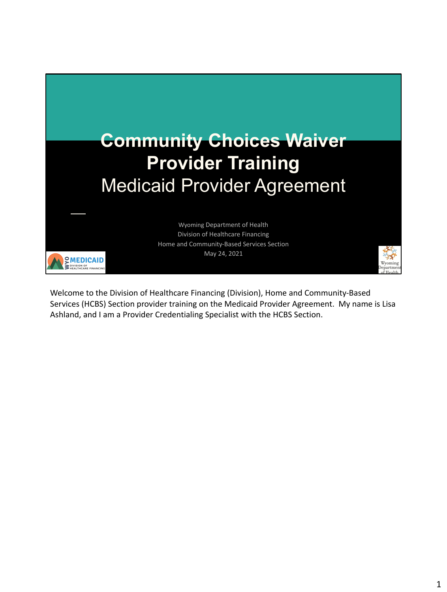

Welcome to the Division of Healthcare Financing (Division), Home and Community-Based Services (HCBS) Section provider training on the Medicaid Provider Agreement. My name is Lisa Ashland, and I am a Provider Credentialing Specialist with the HCBS Section.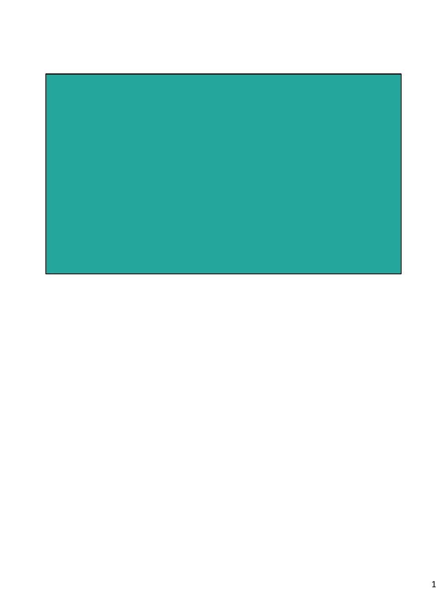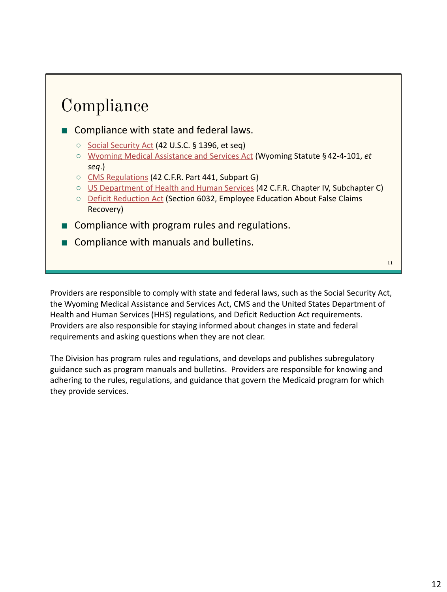## Compliance

- Compliance with state and federal laws.
	- Social Security Act (42 U.S.C. § 1396, et seq)
	- Wyoming Medical Assistance and Services Act (Wyoming Statute § 42-4-101, *et seq*.)
	- CMS Regulations (42 C.F.R. Part 441, Subpart G)
	- US Department of Health and Human Services (42 C.F.R. Chapter IV, Subchapter C)
	- Deficit Reduction Act (Section 6032, Employee Education About False Claims Recovery)
- Compliance with program rules and regulations.
- Compliance with manuals and bulletins.

Providers are responsible to comply with state and federal laws, such as the Social Security Act, the Wyoming Medical Assistance and Services Act, CMS and the United States Department of Health and Human Services (HHS) regulations, and Deficit Reduction Act requirements. Providers are also responsible for staying informed about changes in state and federal requirements and asking questions when they are not clear.

The Division has program rules and regulations, and develops and publishes subregulatory guidance such as program manuals and bulletins. Providers are responsible for knowing and adhering to the rules, regulations, and guidance that govern the Medicaid program for which they provide services.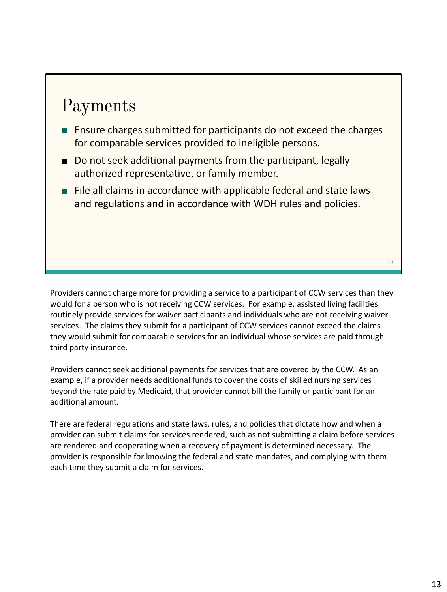#### Payments

- Ensure charges submitted for participants do not exceed the charges for comparable services provided to ineligible persons.
- Do not seek additional payments from the participant, legally authorized representative, or family member.
- File all claims in accordance with applicable federal and state laws and regulations and in accordance with WDH rules and policies.

Providers cannot charge more for providing a service to a participant of CCW services than they would for a person who is not receiving CCW services. For example, assisted living facilities routinely provide services for waiver participants and individuals who are not receiving waiver services. The claims they submit for a participant of CCW services cannot exceed the claims they would submit for comparable services for an individual whose services are paid through third party insurance.

Providers cannot seek additional payments for services that are covered by the CCW. As an example, if a provider needs additional funds to cover the costs of skilled nursing services beyond the rate paid by Medicaid, that provider cannot bill the family or participant for an additional amount.

There are federal regulations and state laws, rules, and policies that dictate how and when a provider can submit claims for services rendered, such as not submitting a claim before services are rendered and cooperating when a recovery of payment is determined necessary. The provider is responsible for knowing the federal and state mandates, and complying with them each time they submit a claim for services.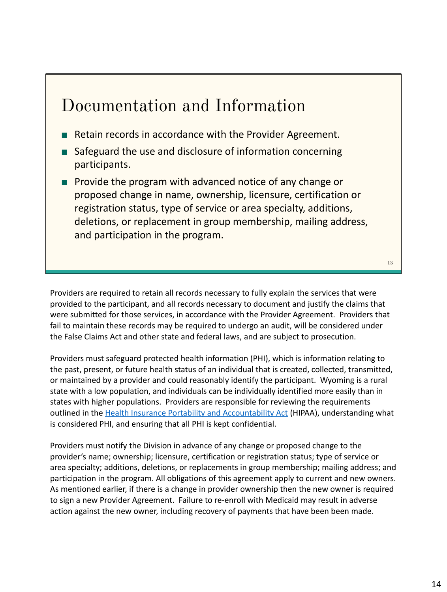### Documentation and Information

- Retain records in accordance with the Provider Agreement.
- Safeguard the use and disclosure of information concerning participants.
- Provide the program with advanced notice of any change or proposed change in name, ownership, licensure, certification or registration status, type of service or area specialty, additions, deletions, or replacement in group membership, mailing address, and participation in the program.

Providers are required to retain all records necessary to fully explain the services that were provided to the participant, and all records necessary to document and justify the claims that were submitted for those services, in accordance with the Provider Agreement. Providers that fail to maintain these records may be required to undergo an audit, will be considered under the False Claims Act and other state and federal laws, and are subject to prosecution.

Providers must safeguard protected health information (PHI), which is information relating to the past, present, or future health status of an individual that is created, collected, transmitted, or maintained by a provider and could reasonably identify the participant. Wyoming is a rural state with a low population, and individuals can be individually identified more easily than in states with higher populations. Providers are responsible for reviewing the requirements outlined in the Health Insurance Portability and Accountability Act (HIPAA), understanding what is considered PHI, and ensuring that all PHI is kept confidential.

Providers must notify the Division in advance of any change or proposed change to the provider's name; ownership; licensure, certification or registration status; type of service or area specialty; additions, deletions, or replacements in group membership; mailing address; and participation in the program. All obligations of this agreement apply to current and new owners. As mentioned earlier, if there is a change in provider ownership then the new owner is required to sign a new Provider Agreement. Failure to re-enroll with Medicaid may result in adverse action against the new owner, including recovery of payments that have been been made.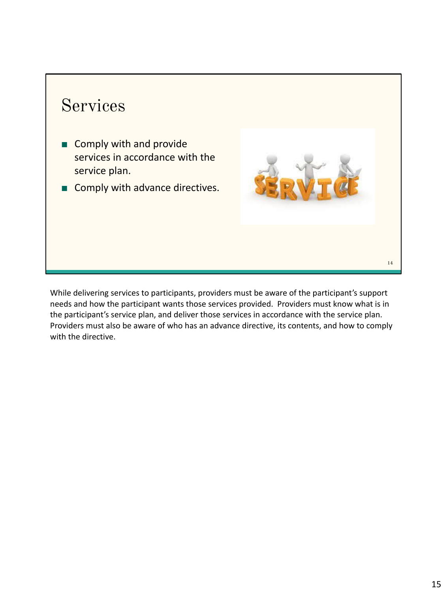

While delivering services to participants, providers must be aware of the participant's support needs and how the participant wants those services provided. Providers must know what is in the participant's service plan, and deliver those services in accordance with the service plan. Providers must also be aware of who has an advance directive, its contents, and how to comply with the directive.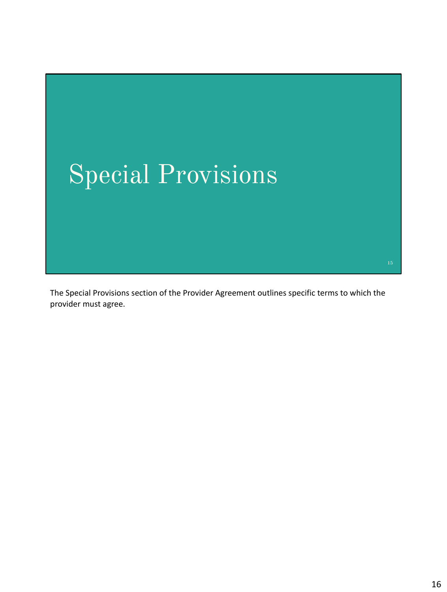

The Special Provisions section of the Provider Agreement outlines specific terms to which the provider must agree.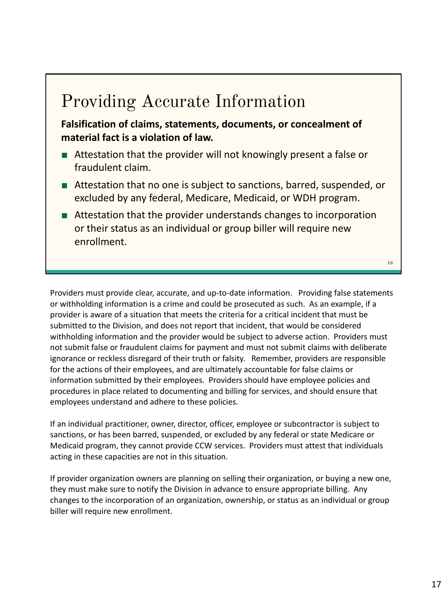## Providing Accurate Information

**Falsification of claims, statements, documents, or concealment of material fact is a violation of law.**

- Attestation that the provider will not knowingly present a false or fraudulent claim.
- Attestation that no one is subject to sanctions, barred, suspended, or excluded by any federal, Medicare, Medicaid, or WDH program.
- Attestation that the provider understands changes to incorporation or their status as an individual or group biller will require new enrollment.

Providers must provide clear, accurate, and up-to-date information. Providing false statements or withholding information is a crime and could be prosecuted as such. As an example, if a provider is aware of a situation that meets the criteria for a critical incident that must be submitted to the Division, and does not report that incident, that would be considered withholding information and the provider would be subject to adverse action. Providers must not submit false or fraudulent claims for payment and must not submit claims with deliberate ignorance or reckless disregard of their truth or falsity. Remember, providers are responsible for the actions of their employees, and are ultimately accountable for false claims or information submitted by their employees. Providers should have employee policies and procedures in place related to documenting and billing for services, and should ensure that employees understand and adhere to these policies.

If an individual practitioner, owner, director, officer, employee or subcontractor is subject to sanctions, or has been barred, suspended, or excluded by any federal or state Medicare or Medicaid program, they cannot provide CCW services. Providers must attest that individuals acting in these capacities are not in this situation.

If provider organization owners are planning on selling their organization, or buying a new one, they must make sure to notify the Division in advance to ensure appropriate billing. Any changes to the incorporation of an organization, ownership, or status as an individual or group biller will require new enrollment.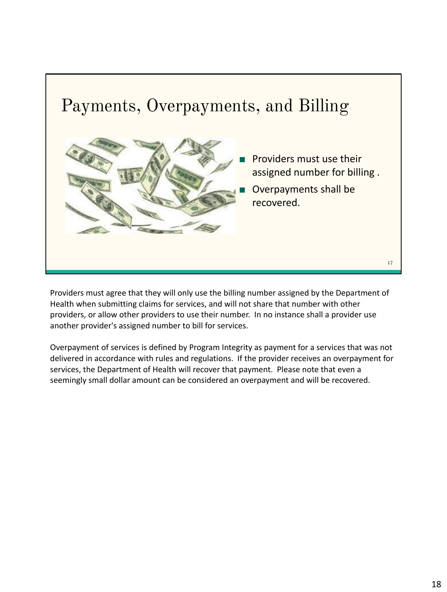

Providers must agree that they will only use the billing number assigned by the Department of Health when submitting claims for services, and will not share that number with other providers, or allow other providers to use their number. In no instance shall a provider use another provider's assigned number to bill for services.

Overpayment of services is defined by Program Integrity as payment for a services that was not delivered in accordance with rules and regulations. If the provider receives an overpayment for services, the Department of Health will recover that payment. Please note that even a seemingly small dollar amount can be considered an overpayment and will be recovered.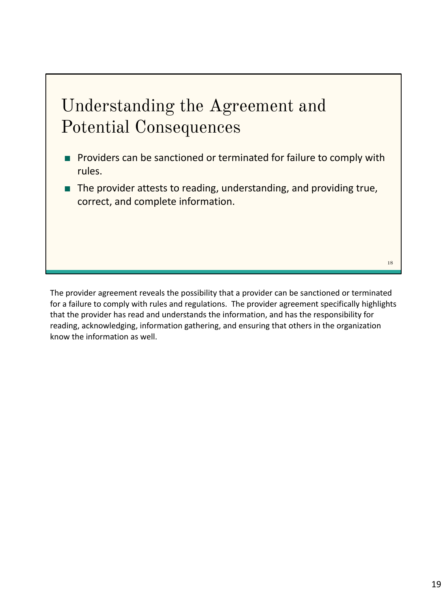## Understanding the Agreement and Potential Consequences

- Providers can be sanctioned or terminated for failure to comply with rules.
- The provider attests to reading, understanding, and providing true, correct, and complete information.

The provider agreement reveals the possibility that a provider can be sanctioned or terminated for a failure to comply with rules and regulations. The provider agreement specifically highlights that the provider has read and understands the information, and has the responsibility for reading, acknowledging, information gathering, and ensuring that others in the organization know the information as well.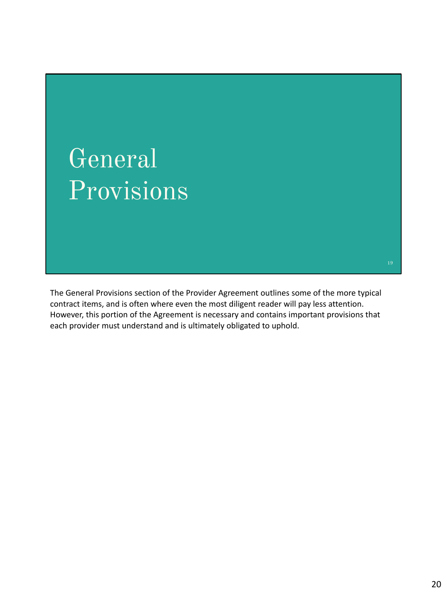# General Provisions

The General Provisions section of the Provider Agreement outlines some of the more typical contract items, and is often where even the most diligent reader will pay less attention. However, this portion of the Agreement is necessary and contains important provisions that each provider must understand and is ultimately obligated to uphold.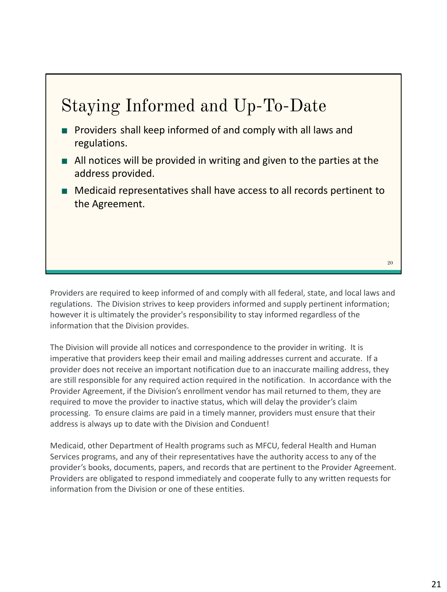## Staying Informed and Up-To-Date

- Providers shall keep informed of and comply with all laws and regulations.
- All notices will be provided in writing and given to the parties at the address provided.
- Medicaid representatives shall have access to all records pertinent to the Agreement.

Providers are required to keep informed of and comply with all federal, state, and local laws and regulations. The Division strives to keep providers informed and supply pertinent information; however it is ultimately the provider's responsibility to stay informed regardless of the information that the Division provides.

The Division will provide all notices and correspondence to the provider in writing. It is imperative that providers keep their email and mailing addresses current and accurate. If a provider does not receive an important notification due to an inaccurate mailing address, they are still responsible for any required action required in the notification. In accordance with the Provider Agreement, if the Division's enrollment vendor has mail returned to them, they are required to move the provider to inactive status, which will delay the provider's claim processing. To ensure claims are paid in a timely manner, providers must ensure that their address is always up to date with the Division and Conduent!

Medicaid, other Department of Health programs such as MFCU, federal Health and Human Services programs, and any of their representatives have the authority access to any of the provider's books, documents, papers, and records that are pertinent to the Provider Agreement. Providers are obligated to respond immediately and cooperate fully to any written requests for information from the Division or one of these entities.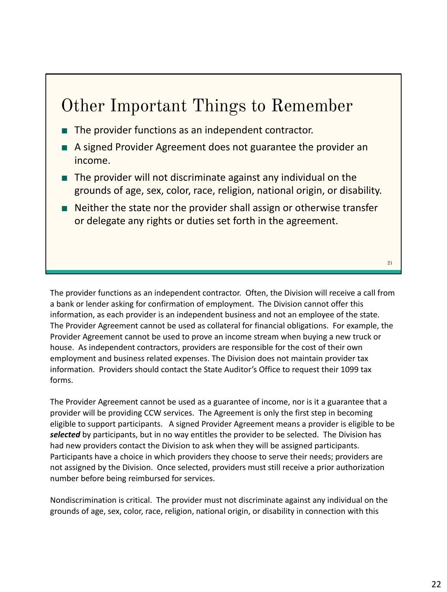## Other Important Things to Remember

- The provider functions as an independent contractor.
- A signed Provider Agreement does not guarantee the provider an income.
- The provider will not discriminate against any individual on the grounds of age, sex, color, race, religion, national origin, or disability.
- Neither the state nor the provider shall assign or otherwise transfer or delegate any rights or duties set forth in the agreement.

The provider functions as an independent contractor. Often, the Division will receive a call from a bank or lender asking for confirmation of employment. The Division cannot offer this information, as each provider is an independent business and not an employee of the state. The Provider Agreement cannot be used as collateral for financial obligations. For example, the Provider Agreement cannot be used to prove an income stream when buying a new truck or house. As independent contractors, providers are responsible for the cost of their own employment and business related expenses. The Division does not maintain provider tax information. Providers should contact the State Auditor's Office to request their 1099 tax forms.

The Provider Agreement cannot be used as a guarantee of income, nor is it a guarantee that a provider will be providing CCW services. The Agreement is only the first step in becoming eligible to support participants. A signed Provider Agreement means a provider is eligible to be *selected* by participants, but in no way entitles the provider to be selected. The Division has had new providers contact the Division to ask when they will be assigned participants. Participants have a choice in which providers they choose to serve their needs; providers are not assigned by the Division. Once selected, providers must still receive a prior authorization number before being reimbursed for services.

Nondiscrimination is critical. The provider must not discriminate against any individual on the grounds of age, sex, color, race, religion, national origin, or disability in connection with this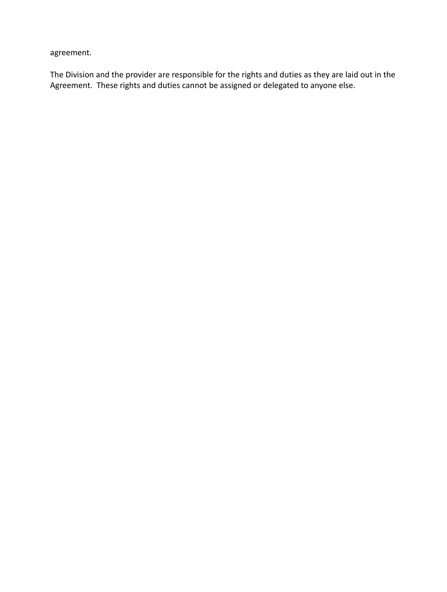agreement.

The Division and the provider are responsible for the rights and duties as they are laid out in the Agreement. These rights and duties cannot be assigned or delegated to anyone else.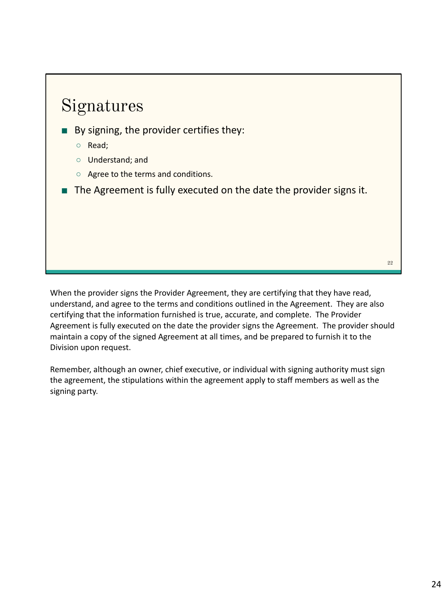## Signatures ■ By signing, the provider certifies they: ○ Read; ○ Understand; and ○ Agree to the terms and conditions. The Agreement is fully executed on the date the provider signs it.

When the provider signs the Provider Agreement, they are certifying that they have read, understand, and agree to the terms and conditions outlined in the Agreement. They are also certifying that the information furnished is true, accurate, and complete. The Provider Agreement is fully executed on the date the provider signs the Agreement. The provider should maintain a copy of the signed Agreement at all times, and be prepared to furnish it to the Division upon request.

Remember, although an owner, chief executive, or individual with signing authority must sign the agreement, the stipulations within the agreement apply to staff members as well as the signing party.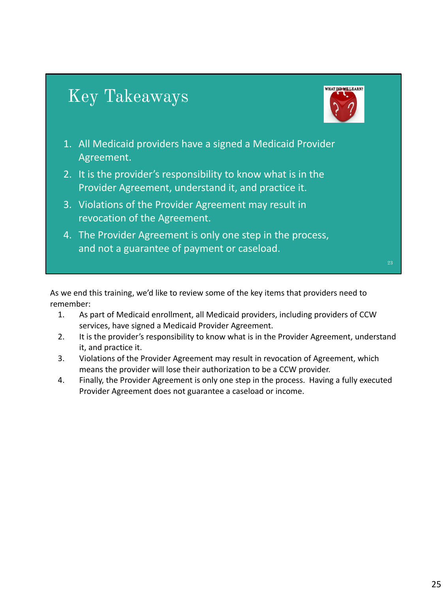

As we end this training, we'd like to review some of the key items that providers need to remember:

- 1. As part of Medicaid enrollment, all Medicaid providers, including providers of CCW services, have signed a Medicaid Provider Agreement.
- 2. It is the provider's responsibility to know what is in the Provider Agreement, understand it, and practice it.
- 3. Violations of the Provider Agreement may result in revocation of Agreement, which means the provider will lose their authorization to be a CCW provider.
- 4. Finally, the Provider Agreement is only one step in the process. Having a fully executed Provider Agreement does not guarantee a caseload or income.